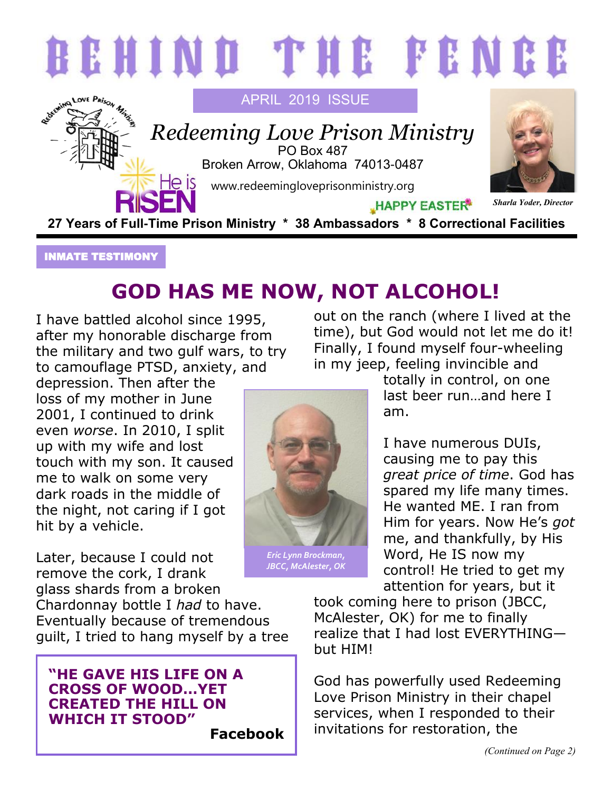

## INMATE TESTIMONY

## **GOD HAS ME NOW, NOT ALCOHOL!**

I have battled alcohol since 1995, after my honorable discharge from the military and two gulf wars, to try to camouflage PTSD, anxiety, and

depression. Then after the loss of my mother in June 2001, I continued to drink even *worse*. In 2010, I split up with my wife and lost touch with my son. It caused me to walk on some very dark roads in the middle of the night, not caring if I got hit by a vehicle.

Later, because I could not remove the cork, I drank glass shards from a broken

Chardonnay bottle I *had* to have. Eventually because of tremendous guilt, I tried to hang myself by a tree

## **"HE GAVE HIS LIFE ON A CROSS OF WOOD…YET CREATED THE HILL ON WHICH IT STOOD"**

**Facebook**

out on the ranch (where I lived at the time), but God would not let me do it! Finally, I found myself four-wheeling in my jeep, feeling invincible and

> totally in control, on one last beer run…and here I am.

I have numerous DUIs, causing me to pay this *great price of time*. God has spared my life many times. He wanted ME. I ran from Him for years. Now He's *got* me, and thankfully, by His Word, He IS now my control! He tried to get my attention for years, but it

took coming here to prison (JBCC, McAlester, OK) for me to finally realize that I had lost EVERYTHING but HIM!

God has powerfully used Redeeming Love Prison Ministry in their chapel services, when I responded to their invitations for restoration, the



*JBCC, McAlester, OK*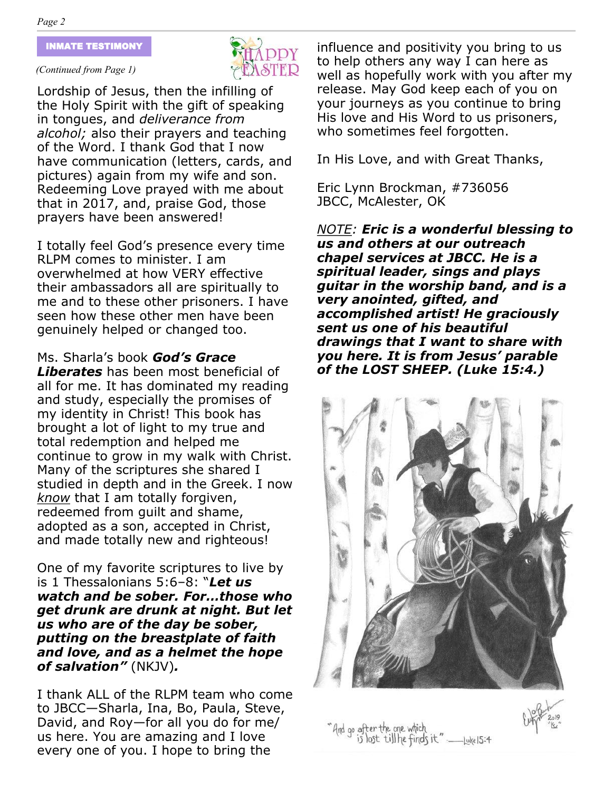#### INMATE TESTIMONY

#### *(Continued from Page 1)*



Lordship of Jesus, then the infilling of the Holy Spirit with the gift of speaking in tongues, and *deliverance from alcohol;* also their prayers and teaching of the Word. I thank God that I now have communication (letters, cards, and pictures) again from my wife and son. Redeeming Love prayed with me about that in 2017, and, praise God, those prayers have been answered!

I totally feel God's presence every time RLPM comes to minister. I am overwhelmed at how VERY effective their ambassadors all are spiritually to me and to these other prisoners. I have seen how these other men have been genuinely helped or changed too.

Ms. Sharla's book *God's Grace* 

*Liberates* has been most beneficial of all for me. It has dominated my reading and study, especially the promises of my identity in Christ! This book has brought a lot of light to my true and total redemption and helped me continue to grow in my walk with Christ. Many of the scriptures she shared I studied in depth and in the Greek. I now *know* that I am totally forgiven, redeemed from guilt and shame, adopted as a son, accepted in Christ, and made totally new and righteous!

One of my favorite scriptures to live by is 1 Thessalonians 5:6–8: "*Let us watch and be sober. For…those who get drunk are drunk at night. But let us who are of the day be sober, putting on the breastplate of faith and love, and as a helmet the hope of salvation"* (NKJV)*.*

I thank ALL of the RLPM team who come to JBCC—Sharla, Ina, Bo, Paula, Steve, David, and Roy—for all you do for me/ us here. You are amazing and I love every one of you. I hope to bring the

influence and positivity you bring to us to help others any way I can here as well as hopefully work with you after my release. May God keep each of you on your journeys as you continue to bring His love and His Word to us prisoners, who sometimes feel forgotten.

In His Love, and with Great Thanks,

Eric Lynn Brockman, #736056 JBCC, McAlester, OK

*NOTE: Eric is a wonderful blessing to us and others at our outreach chapel services at JBCC. He is a spiritual leader, sings and plays guitar in the worship band, and is a very anointed, gifted, and accomplished artist! He graciously sent us one of his beautiful drawings that I want to share with you here. It is from Jesus' parable of the LOST SHEEP. (Luke 15:4.)*





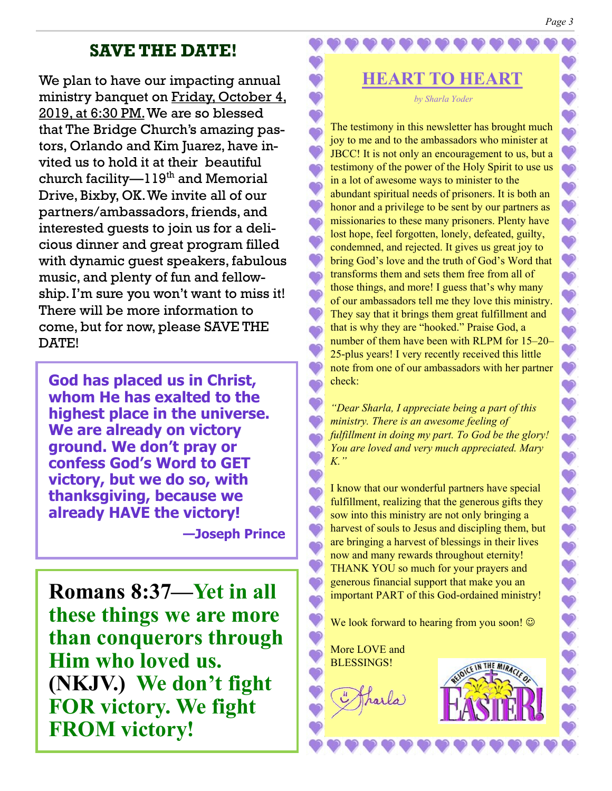#### *Page 3*

 $\bullet$  $\bullet$  $\bullet$  $\bullet$ 

ా

 $\bullet$ 

 $\bullet$  $\bullet$ 

 $\bullet$ 

222244444

 $\ddot{\bullet}$ 

1111

 $\ddot{\textbf{v}}$ 

## **SAVE THE DATE!**

We plan to have our impacting annual ministry banquet on Friday, October 4, 2019, at 6:30 PM.We are so blessed that The Bridge Church's amazing pastors, Orlando and Kim Juarez, have invited us to hold it at their beautiful church facility— $119<sup>th</sup>$  and Memorial Drive, Bixby, OK. We invite all of our partners/ambassadors, friends, and interested guests to join us for a delicious dinner and great program filled with dynamic guest speakers, fabulous music, and plenty of fun and fellowship. I'm sure you won't want to miss it! There will be more information to come, but for now, please SAVE THE DATE!

**God has placed us in Christ, whom He has exalted to the highest place in the universe. We are already on victory ground. We don't pray or confess God's Word to GET victory, but we do so, with thanksgiving, because we already HAVE the victory!** 

**—Joseph Prince**

**Romans 8:37—Yet in all these things we are more than conquerors through Him who loved us. (NKJV.) We don't fight FOR victory. We fight FROM victory!**

*by Sharla Yoder*

**HEART TO HEART**

The testimony in this newsletter has brought much joy to me and to the ambassadors who minister at JBCC! It is not only an encouragement to us, but a testimony of the power of the Holy Spirit to use us in a lot of awesome ways to minister to the abundant spiritual needs of prisoners. It is both an honor and a privilege to be sent by our partners as missionaries to these many prisoners. Plenty have lost hope, feel forgotten, lonely, defeated, guilty, condemned, and rejected. It gives us great joy to bring God's love and the truth of God's Word that transforms them and sets them free from all of those things, and more! I guess that's why many of our ambassadors tell me they love this ministry. They say that it brings them great fulfillment and that is why they are "hooked." Praise God, a number of them have been with RLPM for 15–20– 25-plus years! I very recently received this little note from one of our ambassadors with her partner check:

*"Dear Sharla, I appreciate being a part of this ministry. There is an awesome feeling of fulfillment in doing my part. To God be the glory! You are loved and very much appreciated. Mary K."* 

I know that our wonderful partners have special fulfillment, realizing that the generous gifts they sow into this ministry are not only bringing a harvest of souls to Jesus and discipling them, but are bringing a harvest of blessings in their lives now and many rewards throughout eternity! THANK YOU so much for your prayers and generous financial support that make you an important PART of this God-ordained ministry!

We look forward to hearing from you soon!  $\odot$ 

More LOVE and BLESSINGS!

Tharla)

ာ

ం

 $\bullet$